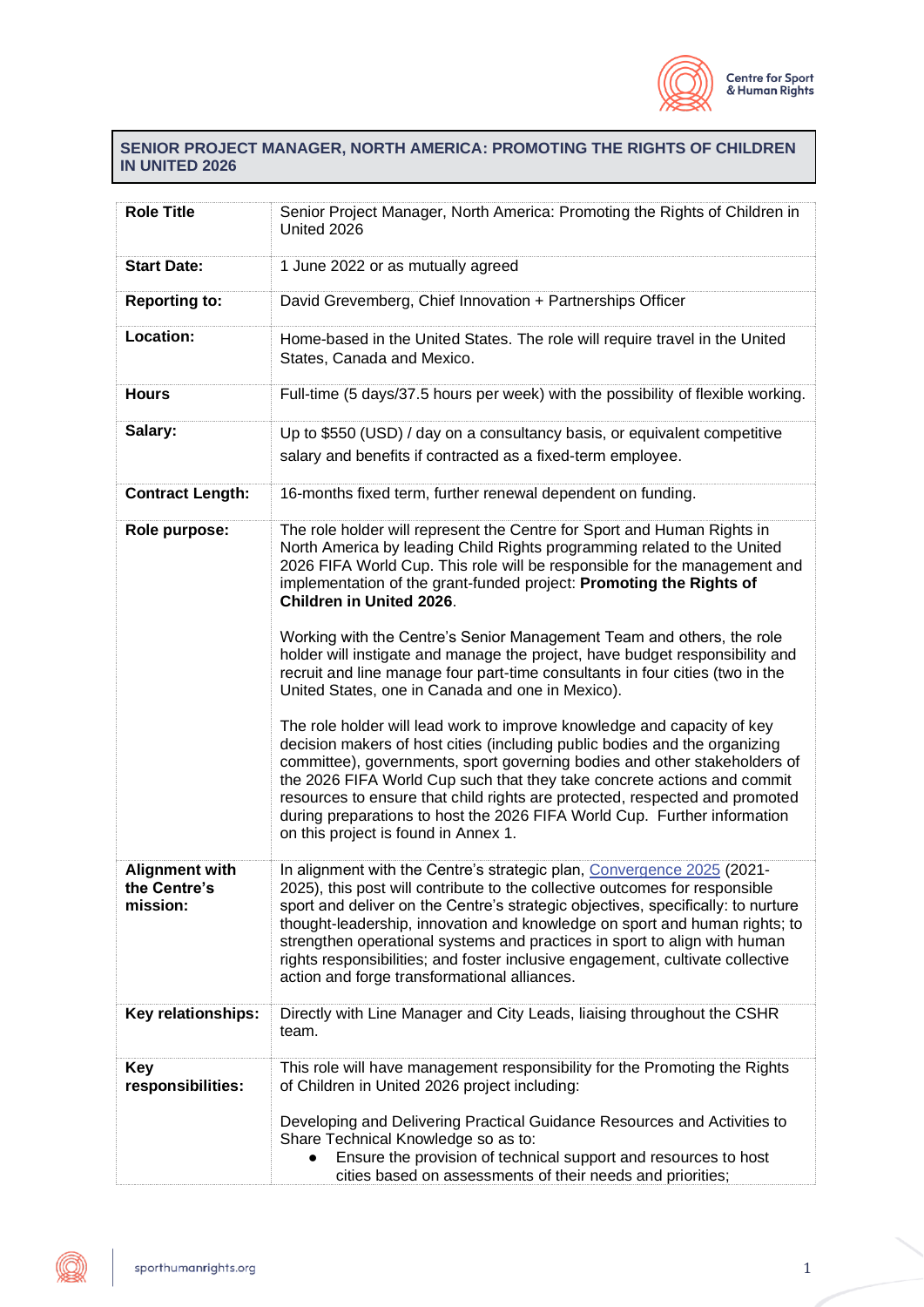

## **SENIOR PROJECT MANAGER, NORTH AMERICA: PROMOTING THE RIGHTS OF CHILDREN IN UNITED 2026**

| <b>Role Title</b>                                 | Senior Project Manager, North America: Promoting the Rights of Children in<br>United 2026                                                                                                                                                                                                                                                                                                                                                                                                                                                                                                                                                                                                                                                                                                                                                                                                                                                                                                                                                                                                                                                            |  |  |
|---------------------------------------------------|------------------------------------------------------------------------------------------------------------------------------------------------------------------------------------------------------------------------------------------------------------------------------------------------------------------------------------------------------------------------------------------------------------------------------------------------------------------------------------------------------------------------------------------------------------------------------------------------------------------------------------------------------------------------------------------------------------------------------------------------------------------------------------------------------------------------------------------------------------------------------------------------------------------------------------------------------------------------------------------------------------------------------------------------------------------------------------------------------------------------------------------------------|--|--|
| <b>Start Date:</b>                                | 1 June 2022 or as mutually agreed                                                                                                                                                                                                                                                                                                                                                                                                                                                                                                                                                                                                                                                                                                                                                                                                                                                                                                                                                                                                                                                                                                                    |  |  |
| <b>Reporting to:</b>                              | David Grevemberg, Chief Innovation + Partnerships Officer                                                                                                                                                                                                                                                                                                                                                                                                                                                                                                                                                                                                                                                                                                                                                                                                                                                                                                                                                                                                                                                                                            |  |  |
| Location:                                         | Home-based in the United States. The role will require travel in the United<br>States, Canada and Mexico.                                                                                                                                                                                                                                                                                                                                                                                                                                                                                                                                                                                                                                                                                                                                                                                                                                                                                                                                                                                                                                            |  |  |
| <b>Hours</b>                                      | Full-time (5 days/37.5 hours per week) with the possibility of flexible working.                                                                                                                                                                                                                                                                                                                                                                                                                                                                                                                                                                                                                                                                                                                                                                                                                                                                                                                                                                                                                                                                     |  |  |
| Salary:                                           | Up to \$550 (USD) / day on a consultancy basis, or equivalent competitive<br>salary and benefits if contracted as a fixed-term employee.                                                                                                                                                                                                                                                                                                                                                                                                                                                                                                                                                                                                                                                                                                                                                                                                                                                                                                                                                                                                             |  |  |
| <b>Contract Length:</b>                           | 16-months fixed term, further renewal dependent on funding.                                                                                                                                                                                                                                                                                                                                                                                                                                                                                                                                                                                                                                                                                                                                                                                                                                                                                                                                                                                                                                                                                          |  |  |
| Role purpose:                                     | The role holder will represent the Centre for Sport and Human Rights in<br>North America by leading Child Rights programming related to the United<br>2026 FIFA World Cup. This role will be responsible for the management and<br>implementation of the grant-funded project: Promoting the Rights of<br>Children in United 2026.<br>Working with the Centre's Senior Management Team and others, the role<br>holder will instigate and manage the project, have budget responsibility and<br>recruit and line manage four part-time consultants in four cities (two in the<br>United States, one in Canada and one in Mexico).<br>The role holder will lead work to improve knowledge and capacity of key<br>decision makers of host cities (including public bodies and the organizing<br>committee), governments, sport governing bodies and other stakeholders of<br>the 2026 FIFA World Cup such that they take concrete actions and commit<br>resources to ensure that child rights are protected, respected and promoted<br>during preparations to host the 2026 FIFA World Cup. Further information<br>on this project is found in Annex 1. |  |  |
| <b>Alignment with</b><br>the Centre's<br>mission: | In alignment with the Centre's strategic plan, Convergence 2025 (2021-<br>2025), this post will contribute to the collective outcomes for responsible<br>sport and deliver on the Centre's strategic objectives, specifically: to nurture<br>thought-leadership, innovation and knowledge on sport and human rights; to<br>strengthen operational systems and practices in sport to align with human<br>rights responsibilities; and foster inclusive engagement, cultivate collective<br>action and forge transformational alliances.                                                                                                                                                                                                                                                                                                                                                                                                                                                                                                                                                                                                               |  |  |
| Key relationships:                                | Directly with Line Manager and City Leads, liaising throughout the CSHR<br>team.                                                                                                                                                                                                                                                                                                                                                                                                                                                                                                                                                                                                                                                                                                                                                                                                                                                                                                                                                                                                                                                                     |  |  |
| Key<br>responsibilities:                          | This role will have management responsibility for the Promoting the Rights<br>of Children in United 2026 project including:<br>Developing and Delivering Practical Guidance Resources and Activities to<br>Share Technical Knowledge so as to:<br>Ensure the provision of technical support and resources to host<br>cities based on assessments of their needs and priorities;                                                                                                                                                                                                                                                                                                                                                                                                                                                                                                                                                                                                                                                                                                                                                                      |  |  |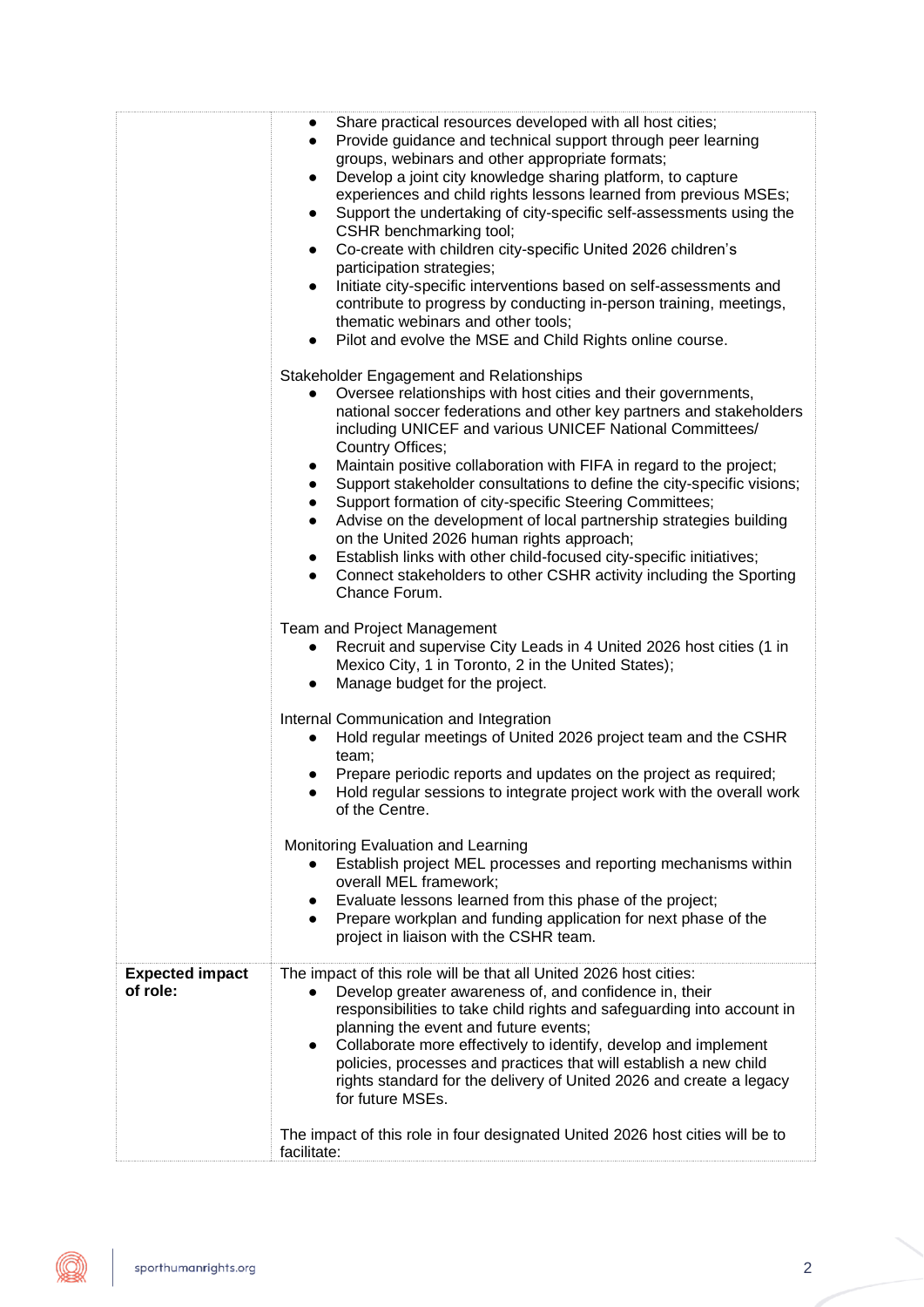|                                    | Share practical resources developed with all host cities;<br>$\bullet$<br>Provide guidance and technical support through peer learning<br>$\bullet$<br>groups, webinars and other appropriate formats;<br>Develop a joint city knowledge sharing platform, to capture<br>$\bullet$<br>experiences and child rights lessons learned from previous MSEs;<br>Support the undertaking of city-specific self-assessments using the<br>$\bullet$<br>CSHR benchmarking tool;<br>Co-create with children city-specific United 2026 children's<br>$\bullet$<br>participation strategies;<br>Initiate city-specific interventions based on self-assessments and<br>contribute to progress by conducting in-person training, meetings,<br>thematic webinars and other tools;<br>• Pilot and evolve the MSE and Child Rights online course. |
|------------------------------------|---------------------------------------------------------------------------------------------------------------------------------------------------------------------------------------------------------------------------------------------------------------------------------------------------------------------------------------------------------------------------------------------------------------------------------------------------------------------------------------------------------------------------------------------------------------------------------------------------------------------------------------------------------------------------------------------------------------------------------------------------------------------------------------------------------------------------------|
|                                    | Stakeholder Engagement and Relationships<br>Oversee relationships with host cities and their governments,<br>$\bullet$<br>national soccer federations and other key partners and stakeholders<br>including UNICEF and various UNICEF National Committees/<br>Country Offices;<br>Maintain positive collaboration with FIFA in regard to the project;<br>$\bullet$<br>Support stakeholder consultations to define the city-specific visions;<br>$\bullet$<br>Support formation of city-specific Steering Committees;<br>$\bullet$<br>Advise on the development of local partnership strategies building<br>$\bullet$<br>on the United 2026 human rights approach;<br>Establish links with other child-focused city-specific initiatives;<br>Connect stakeholders to other CSHR activity including the Sporting<br>Chance Forum.  |
|                                    | Team and Project Management<br>Recruit and supervise City Leads in 4 United 2026 host cities (1 in<br>$\bullet$<br>Mexico City, 1 in Toronto, 2 in the United States);<br>Manage budget for the project.<br>$\bullet$                                                                                                                                                                                                                                                                                                                                                                                                                                                                                                                                                                                                           |
|                                    | Internal Communication and Integration<br>Hold regular meetings of United 2026 project team and the CSHR<br>$\bullet$<br>team;<br>Prepare periodic reports and updates on the project as required;<br>Hold regular sessions to integrate project work with the overall work<br>$\bullet$<br>of the Centre.                                                                                                                                                                                                                                                                                                                                                                                                                                                                                                                      |
|                                    | Monitoring Evaluation and Learning<br>Establish project MEL processes and reporting mechanisms within<br>overall MEL framework;<br>Evaluate lessons learned from this phase of the project;<br>$\bullet$<br>Prepare workplan and funding application for next phase of the<br>$\bullet$<br>project in liaison with the CSHR team.                                                                                                                                                                                                                                                                                                                                                                                                                                                                                               |
| <b>Expected impact</b><br>of role: | The impact of this role will be that all United 2026 host cities:<br>Develop greater awareness of, and confidence in, their<br>$\bullet$<br>responsibilities to take child rights and safeguarding into account in<br>planning the event and future events;<br>Collaborate more effectively to identify, develop and implement<br>$\bullet$<br>policies, processes and practices that will establish a new child<br>rights standard for the delivery of United 2026 and create a legacy<br>for future MSEs.                                                                                                                                                                                                                                                                                                                     |
|                                    | The impact of this role in four designated United 2026 host cities will be to<br>facilitate:                                                                                                                                                                                                                                                                                                                                                                                                                                                                                                                                                                                                                                                                                                                                    |

Œ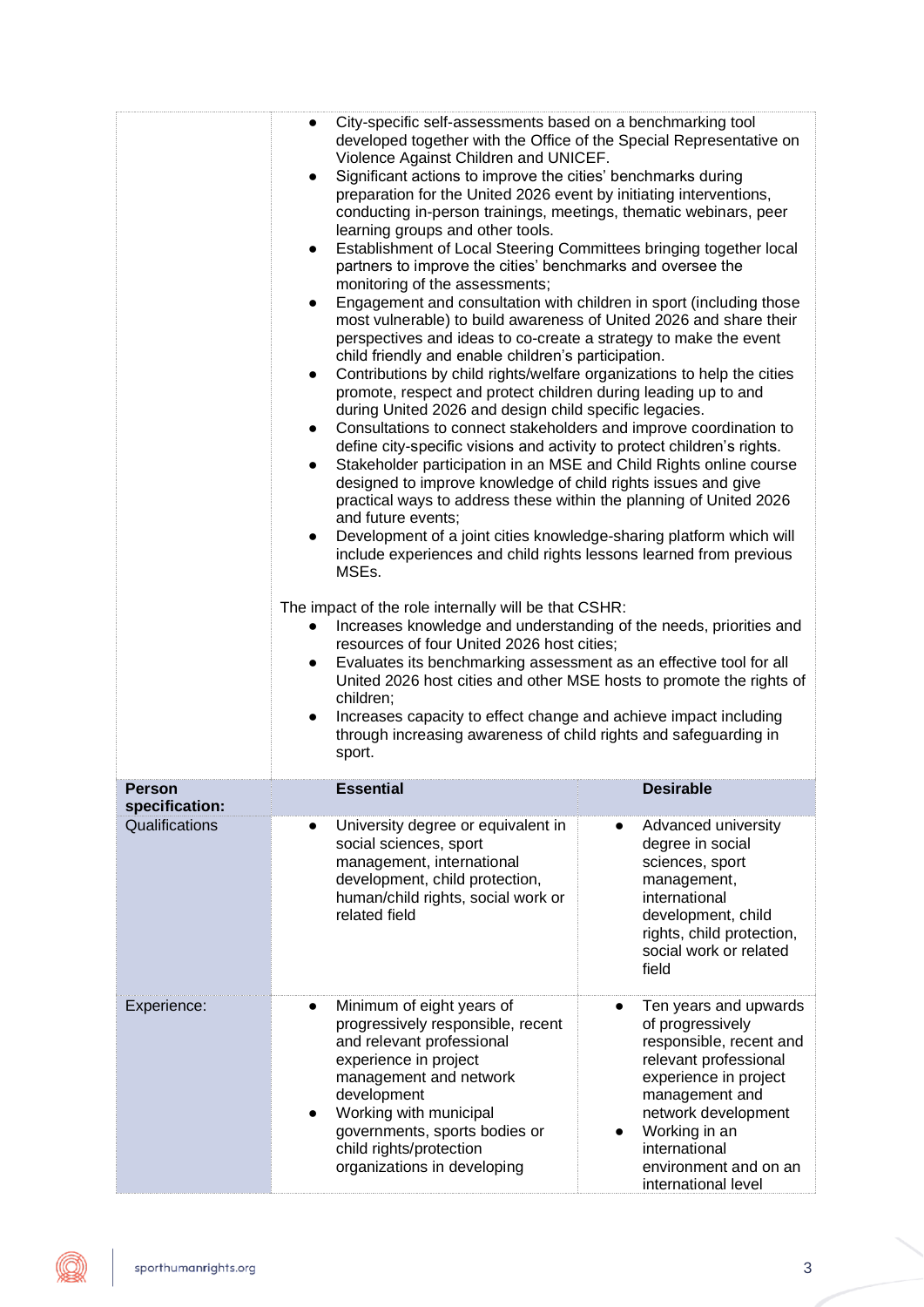|                                 | developed together with the Office of the Special Representative on<br>Violence Against Children and UNICEF.<br>Significant actions to improve the cities' benchmarks during<br>preparation for the United 2026 event by initiating interventions,<br>conducting in-person trainings, meetings, thematic webinars, peer<br>learning groups and other tools.<br>Establishment of Local Steering Committees bringing together local<br>$\bullet$<br>partners to improve the cities' benchmarks and oversee the<br>monitoring of the assessments;<br>Engagement and consultation with children in sport (including those<br>$\bullet$<br>most vulnerable) to build awareness of United 2026 and share their<br>perspectives and ideas to co-create a strategy to make the event<br>child friendly and enable children's participation.<br>Contributions by child rights/welfare organizations to help the cities<br>$\bullet$<br>promote, respect and protect children during leading up to and<br>during United 2026 and design child specific legacies.<br>Consultations to connect stakeholders and improve coordination to<br>$\bullet$<br>define city-specific visions and activity to protect children's rights.<br>Stakeholder participation in an MSE and Child Rights online course<br>$\bullet$<br>designed to improve knowledge of child rights issues and give<br>practical ways to address these within the planning of United 2026<br>and future events;<br>Development of a joint cities knowledge-sharing platform which will<br>$\bullet$<br>include experiences and child rights lessons learned from previous<br>MSEs.<br>The impact of the role internally will be that CSHR:<br>Increases knowledge and understanding of the needs, priorities and<br>resources of four United 2026 host cities;<br>Evaluates its benchmarking assessment as an effective tool for all<br>$\bullet$<br>United 2026 host cities and other MSE hosts to promote the rights of<br>children;<br>Increases capacity to effect change and achieve impact including<br>through increasing awareness of child rights and safeguarding in<br>sport. |                                                                                                                                                                                                                                                                     |  |                                                                                                                                                                                                                                                   |
|---------------------------------|----------------------------------------------------------------------------------------------------------------------------------------------------------------------------------------------------------------------------------------------------------------------------------------------------------------------------------------------------------------------------------------------------------------------------------------------------------------------------------------------------------------------------------------------------------------------------------------------------------------------------------------------------------------------------------------------------------------------------------------------------------------------------------------------------------------------------------------------------------------------------------------------------------------------------------------------------------------------------------------------------------------------------------------------------------------------------------------------------------------------------------------------------------------------------------------------------------------------------------------------------------------------------------------------------------------------------------------------------------------------------------------------------------------------------------------------------------------------------------------------------------------------------------------------------------------------------------------------------------------------------------------------------------------------------------------------------------------------------------------------------------------------------------------------------------------------------------------------------------------------------------------------------------------------------------------------------------------------------------------------------------------------------------------------------------------------------------------------------------------------------------------------|---------------------------------------------------------------------------------------------------------------------------------------------------------------------------------------------------------------------------------------------------------------------|--|---------------------------------------------------------------------------------------------------------------------------------------------------------------------------------------------------------------------------------------------------|
| <b>Person</b><br>specification: | <b>Essential</b>                                                                                                                                                                                                                                                                                                                                                                                                                                                                                                                                                                                                                                                                                                                                                                                                                                                                                                                                                                                                                                                                                                                                                                                                                                                                                                                                                                                                                                                                                                                                                                                                                                                                                                                                                                                                                                                                                                                                                                                                                                                                                                                             |                                                                                                                                                                                                                                                                     |  | <b>Desirable</b>                                                                                                                                                                                                                                  |
| Qualifications                  | related field                                                                                                                                                                                                                                                                                                                                                                                                                                                                                                                                                                                                                                                                                                                                                                                                                                                                                                                                                                                                                                                                                                                                                                                                                                                                                                                                                                                                                                                                                                                                                                                                                                                                                                                                                                                                                                                                                                                                                                                                                                                                                                                                | University degree or equivalent in<br>social sciences, sport<br>management, international<br>development, child protection,<br>human/child rights, social work or                                                                                                   |  | Advanced university<br>degree in social<br>sciences, sport<br>management,<br>international<br>development, child<br>rights, child protection,<br>social work or related<br>field                                                                  |
| Experience:                     | development                                                                                                                                                                                                                                                                                                                                                                                                                                                                                                                                                                                                                                                                                                                                                                                                                                                                                                                                                                                                                                                                                                                                                                                                                                                                                                                                                                                                                                                                                                                                                                                                                                                                                                                                                                                                                                                                                                                                                                                                                                                                                                                                  | Minimum of eight years of<br>progressively responsible, recent<br>and relevant professional<br>experience in project<br>management and network<br>Working with municipal<br>governments, sports bodies or<br>child rights/protection<br>organizations in developing |  | Ten years and upwards<br>of progressively<br>responsible, recent and<br>relevant professional<br>experience in project<br>management and<br>network development<br>Working in an<br>international<br>environment and on an<br>international level |

(Q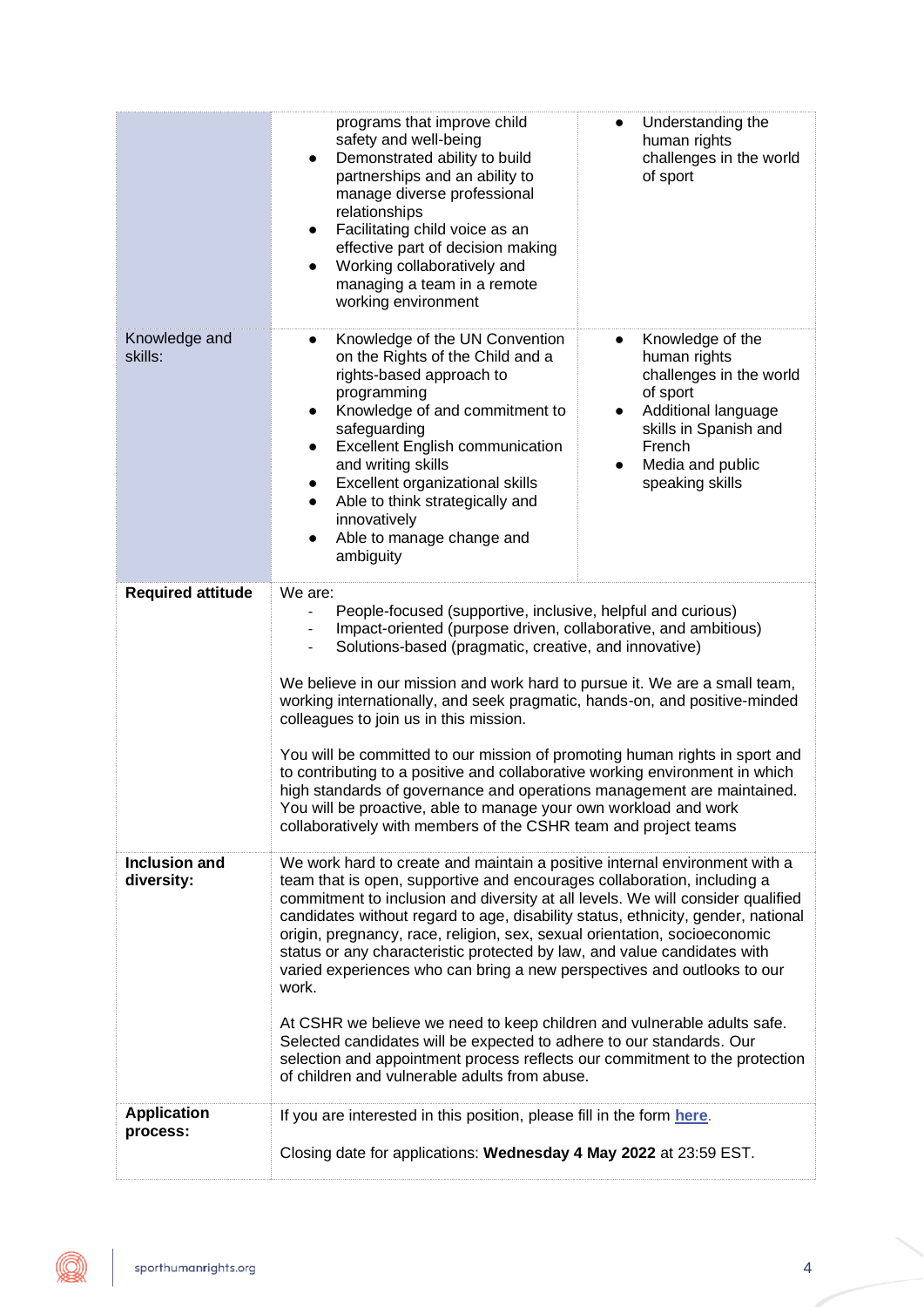|                                    | programs that improve child<br>safety and well-being<br>Demonstrated ability to build<br>$\bullet$<br>partnerships and an ability to<br>manage diverse professional<br>relationships<br>Facilitating child voice as an<br>٠<br>effective part of decision making<br>Working collaboratively and<br>managing a team in a remote<br>working environment                                                                                                                                                                                                                                                                                                                                                                                                                                                                                                        | Understanding the<br>$\bullet$<br>human rights<br>challenges in the world<br>of sport                                                                                                                           |  |  |
|------------------------------------|--------------------------------------------------------------------------------------------------------------------------------------------------------------------------------------------------------------------------------------------------------------------------------------------------------------------------------------------------------------------------------------------------------------------------------------------------------------------------------------------------------------------------------------------------------------------------------------------------------------------------------------------------------------------------------------------------------------------------------------------------------------------------------------------------------------------------------------------------------------|-----------------------------------------------------------------------------------------------------------------------------------------------------------------------------------------------------------------|--|--|
| Knowledge and<br>skills:           | Knowledge of the UN Convention<br>$\bullet$<br>on the Rights of the Child and a<br>rights-based approach to<br>programming<br>Knowledge of and commitment to<br>$\bullet$<br>safeguarding<br><b>Excellent English communication</b><br>and writing skills<br>Excellent organizational skills<br>Able to think strategically and<br>$\bullet$<br>innovatively<br>Able to manage change and<br>ambiguity                                                                                                                                                                                                                                                                                                                                                                                                                                                       | Knowledge of the<br>$\bullet$<br>human rights<br>challenges in the world<br>of sport<br>Additional language<br>$\bullet$<br>skills in Spanish and<br>French<br>Media and public<br>$\bullet$<br>speaking skills |  |  |
| <b>Required attitude</b>           | We are:<br>People-focused (supportive, inclusive, helpful and curious)<br>$\overline{a}$<br>Impact-oriented (purpose driven, collaborative, and ambitious)<br>Solutions-based (pragmatic, creative, and innovative)<br>We believe in our mission and work hard to pursue it. We are a small team,<br>working internationally, and seek pragmatic, hands-on, and positive-minded<br>colleagues to join us in this mission.<br>You will be committed to our mission of promoting human rights in sport and<br>to contributing to a positive and collaborative working environment in which<br>high standards of governance and operations management are maintained.<br>You will be proactive, able to manage your own workload and work<br>collaboratively with members of the CSHR team and project teams                                                    |                                                                                                                                                                                                                 |  |  |
| <b>Inclusion and</b><br>diversity: | We work hard to create and maintain a positive internal environment with a<br>team that is open, supportive and encourages collaboration, including a<br>commitment to inclusion and diversity at all levels. We will consider qualified<br>candidates without regard to age, disability status, ethnicity, gender, national<br>origin, pregnancy, race, religion, sex, sexual orientation, socioeconomic<br>status or any characteristic protected by law, and value candidates with<br>varied experiences who can bring a new perspectives and outlooks to our<br>work.<br>At CSHR we believe we need to keep children and vulnerable adults safe.<br>Selected candidates will be expected to adhere to our standards. Our<br>selection and appointment process reflects our commitment to the protection<br>of children and vulnerable adults from abuse. |                                                                                                                                                                                                                 |  |  |
| <b>Application</b><br>process:     | If you are interested in this position, please fill in the form here.<br>Closing date for applications: Wednesday 4 May 2022 at 23:59 EST.                                                                                                                                                                                                                                                                                                                                                                                                                                                                                                                                                                                                                                                                                                                   |                                                                                                                                                                                                                 |  |  |

Q